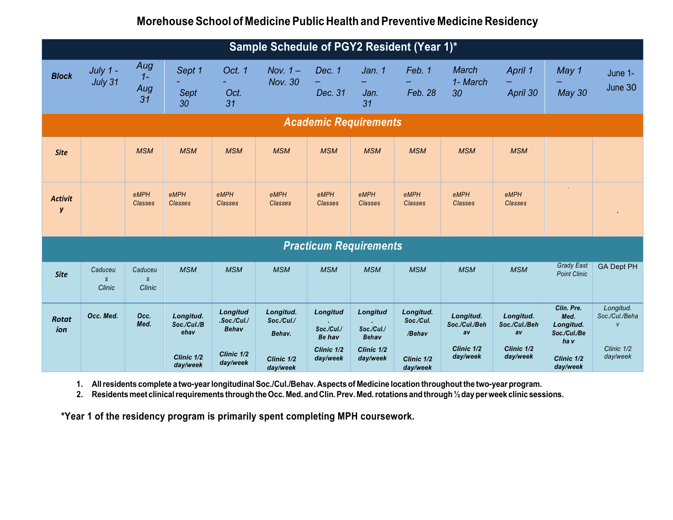## **Morehouse School of Medicine Public Health and Preventive Medicine Residency**

| Sample Schedule of PGY2 Resident (Year 1)* |                                    |                                    |                                  |                                         |                                   |                                         |                                        |                                  |                                  |                                  |                                                         |                                             |
|--------------------------------------------|------------------------------------|------------------------------------|----------------------------------|-----------------------------------------|-----------------------------------|-----------------------------------------|----------------------------------------|----------------------------------|----------------------------------|----------------------------------|---------------------------------------------------------|---------------------------------------------|
| <b>Block</b>                               | July 1 -<br>July 31                | Aug<br>$1 -$<br>Aug<br>31          | Sept 1<br>Sept<br>30             | Oct. 1<br>Oct.<br>31                    | Nov. $1-$<br><b>Nov. 30</b>       | Dec. 1<br>Dec. 31                       | Jan. 1<br>Jan.<br>31                   | Feb. 1<br>Feb. 28                | March<br>1- March<br>30          | April 1<br>April 30              | May 1<br><b>May 30</b>                                  | June 1-<br>June 30                          |
| <b>Academic Requirements</b>               |                                    |                                    |                                  |                                         |                                   |                                         |                                        |                                  |                                  |                                  |                                                         |                                             |
| <b>Site</b>                                |                                    | <b>MSM</b>                         | <b>MSM</b>                       | <b>MSM</b>                              | <b>MSM</b>                        | <b>MSM</b>                              | <b>MSM</b>                             | <b>MSM</b>                       | <b>MSM</b>                       | <b>MSM</b>                       |                                                         |                                             |
| <b>Activit</b><br>y                        |                                    | eMPH<br><b>Classes</b>             | eMPH<br><b>Classes</b>           | eMPH<br><b>Classes</b>                  | eMPH<br>Classes                   | eMPH<br><b>Classes</b>                  | eMPH<br>Classes                        | eMPH<br><b>Classes</b>           | eMPH<br>Classes                  | eMPH<br><b>Classes</b>           | ÷.                                                      |                                             |
| <b>Practicum Requirements</b>              |                                    |                                    |                                  |                                         |                                   |                                         |                                        |                                  |                                  |                                  |                                                         |                                             |
| <b>Site</b>                                | Caduceu<br>$\mathcal{S}$<br>Clinic | Caduceu<br>$\mathcal{S}$<br>Clinic | <b>MSM</b>                       | <b>MSM</b>                              | <b>MSM</b>                        | <b>MSM</b>                              | <b>MSM</b>                             | <b>MSM</b>                       | <b>MSM</b>                       | <b>MSM</b>                       | <b>Grady East</b><br><b>Point Clinic</b>                | <b>GA Dept PH</b>                           |
| <b>Rotat</b><br>ion                        | Occ. Med.                          | Occ.<br>Med.                       | Longitud.<br>Soc./Cul./B<br>ehav | Longitud<br>.Soc./Cul./<br><b>Behav</b> | Longitud.<br>Soc./Cul./<br>Behav. | Longitud<br>Soc./Cul./<br><b>Be hav</b> | Longitud<br>Soc./Cul./<br><b>Behav</b> | Longitud.<br>Soc./Cul.<br>/Behav | Longitud.<br>Soc./Cul./Beh<br>av | Longitud.<br>Soc./Cul./Beh<br>av | Clin. Pre.<br>Med.<br>Longitud.<br>Soc./Cul./Be<br>ha v | Longitud.<br>Soc./Cul./Beha<br>$\mathbf{V}$ |
|                                            |                                    |                                    | Clinic 1/2<br>day/week           | Clinic 1/2<br>day/week                  | Clinic 1/2<br>day/week            | Clinic 1/2<br>day/week                  | Clinic 1/2<br>day/week                 | Clinic 1/2<br>day/week           | Clinic 1/2<br>day/week           | Clinic 1/2<br>day/week           | Clinic 1/2<br>day/week                                  | Clinic 1/2<br>day/week                      |

1. All residents complete a two-year longitudinal Soc./Cul./Behav. Aspects of Medicine location throughout the two-year program.

**2. Residentsmeet clinicalrequirements throughtheOcc. Med. andClin.Prev. Med.rotations andthrough ½dayperweek clinic sessions.**

**\*Year 1 of the residency program is primarily spent completing MPH coursework.**